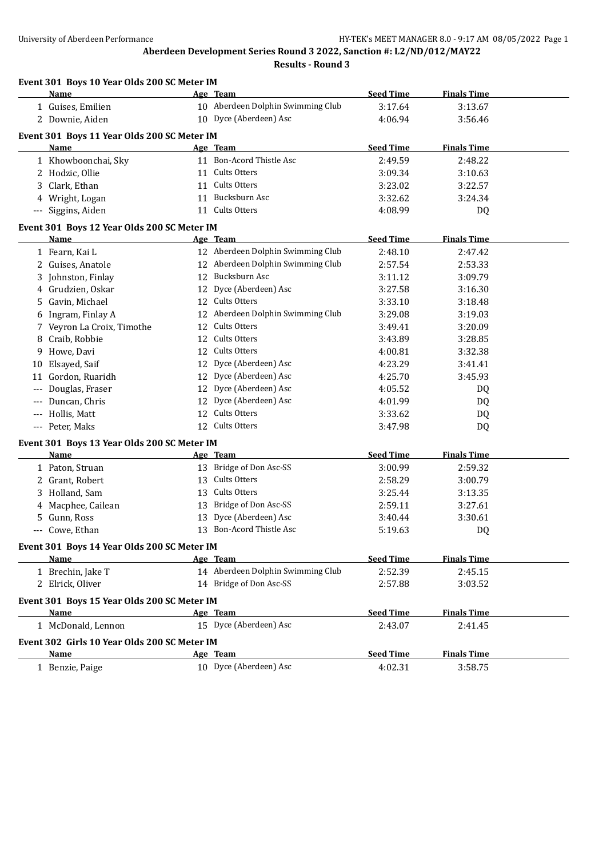| 10 Aberdeen Dolphin Swimming Club<br>3:17.64<br>1 Guises, Emilien<br>3:13.67<br>10 Dyce (Aberdeen) Asc<br>2 Downie, Aiden<br>4:06.94<br>3:56.46<br>Event 301 Boys 11 Year Olds 200 SC Meter IM<br><b>Seed Time</b><br><b>Finals Time</b><br>Age Team<br>Name<br>11 Bon-Acord Thistle Asc<br>1 Khowboonchai, Sky<br>2:49.59<br>2:48.22<br>11 Cults Otters<br>2 Hodzic, Ollie<br>3:09.34<br>3:10.63<br>11 Cults Otters<br>Clark, Ethan<br>3:23.02<br>3:22.57<br>3<br>11 Bucksburn Asc<br>3:32.62<br>4 Wright, Logan<br>3:24.34<br>11 Cults Otters<br>Siggins, Aiden<br>4:08.99<br>DQ<br>---<br>Event 301 Boys 12 Year Olds 200 SC Meter IM<br><b>Seed Time</b><br><b>Finals Time</b><br>Name<br>Age Team<br>12 Aberdeen Dolphin Swimming Club<br>2:48.10<br>1 Fearn, Kai L<br>2:47.42<br>12 Aberdeen Dolphin Swimming Club<br>2 Guises, Anatole<br>2:57.54<br>2:53.33<br>12 Bucksburn Asc<br>Johnston, Finlay<br>3:11.12<br>3:09.79<br>12 Dyce (Aberdeen) Asc<br>Grudzien, Oskar<br>3:27.58<br>3:16.30<br>4<br>12 Cults Otters<br>Gavin, Michael<br>3:33.10<br>3:18.48<br>5<br>Ingram, Finlay A<br>12 Aberdeen Dolphin Swimming Club<br>3:29.08<br>3:19.03<br>6<br>12 Cults Otters<br>7 Veyron La Croix, Timothe<br>3:49.41<br>3:20.09<br>12 Cults Otters<br>8 Craib, Robbie<br>3:43.89<br>3:28.85<br>12 Cults Otters<br>9 Howe, Davi<br>4:00.81<br>3:32.38<br>12 Dyce (Aberdeen) Asc<br>Elsayed, Saif<br>4:23.29<br>3:41.41<br>10<br>11 Gordon, Ruaridh<br>12 Dyce (Aberdeen) Asc<br>4:25.70<br>3:45.93<br>12 Dyce (Aberdeen) Asc<br>Douglas, Fraser<br>4:05.52<br>DQ<br>---<br>12 Dyce (Aberdeen) Asc<br>Duncan, Chris<br>4:01.99<br>DQ<br>$---$<br>12 Cults Otters<br>Hollis, Matt<br>3:33.62<br>DQ<br>$---$<br>12 Cults Otters<br>--- Peter, Maks<br>3:47.98<br>DQ<br>Event 301 Boys 13 Year Olds 200 SC Meter IM<br>Age Team<br><b>Seed Time</b><br><b>Finals Time</b><br>Name<br>13 Bridge of Don Asc-SS<br>1 Paton, Struan<br>3:00.99<br>2:59.32<br>13 Cults Otters<br>2 Grant, Robert<br>3:00.79<br>2:58.29<br>13 Cults Otters<br>3 Holland, Sam<br>3:25.44<br>3:13.35<br>13 Bridge of Don Asc-SS<br>Macphee, Cailean<br>2:59.11<br>3:27.61<br>4<br>Gunn, Ross<br>13 Dyce (Aberdeen) Asc<br>3:40.44<br>3:30.61<br>5<br>13 Bon-Acord Thistle Asc<br>5:19.63<br>Cowe, Ethan<br>DQ<br>Event 301 Boys 14 Year Olds 200 SC Meter IM<br>Age Team<br><b>Seed Time</b><br><b>Finals Time</b><br>Name<br>14 Aberdeen Dolphin Swimming Club<br>1 Brechin, Jake T<br>2:52.39<br>2:45.15<br>14 Bridge of Don Asc-SS<br>2 Elrick, Oliver<br>2:57.88<br>3:03.52<br>Event 301 Boys 15 Year Olds 200 SC Meter IM<br><b>Seed Time</b><br><b>Name</b><br>Age Team<br><b>Finals Time</b><br>15 Dyce (Aberdeen) Asc<br>1 McDonald, Lennon<br>2:43.07<br>2:41.45<br>Event 302 Girls 10 Year Olds 200 SC Meter IM<br><b>Seed Time</b><br><b>Finals Time</b><br>Age Team<br>Name<br>10 Dyce (Aberdeen) Asc | Event 301 Boys 10 Year Olds 200 SC Meter IM<br>Name | Age Team | <b>Seed Time</b> | <b>Finals Time</b> |
|-------------------------------------------------------------------------------------------------------------------------------------------------------------------------------------------------------------------------------------------------------------------------------------------------------------------------------------------------------------------------------------------------------------------------------------------------------------------------------------------------------------------------------------------------------------------------------------------------------------------------------------------------------------------------------------------------------------------------------------------------------------------------------------------------------------------------------------------------------------------------------------------------------------------------------------------------------------------------------------------------------------------------------------------------------------------------------------------------------------------------------------------------------------------------------------------------------------------------------------------------------------------------------------------------------------------------------------------------------------------------------------------------------------------------------------------------------------------------------------------------------------------------------------------------------------------------------------------------------------------------------------------------------------------------------------------------------------------------------------------------------------------------------------------------------------------------------------------------------------------------------------------------------------------------------------------------------------------------------------------------------------------------------------------------------------------------------------------------------------------------------------------------------------------------------------------------------------------------------------------------------------------------------------------------------------------------------------------------------------------------------------------------------------------------------------------------------------------------------------------------------------------------------------------------------------------------------------------------------------------------------------------------------------------------------------------------------------------------------------------------------------------------------------------------------------------------------------------------------------------------------------------|-----------------------------------------------------|----------|------------------|--------------------|
|                                                                                                                                                                                                                                                                                                                                                                                                                                                                                                                                                                                                                                                                                                                                                                                                                                                                                                                                                                                                                                                                                                                                                                                                                                                                                                                                                                                                                                                                                                                                                                                                                                                                                                                                                                                                                                                                                                                                                                                                                                                                                                                                                                                                                                                                                                                                                                                                                                                                                                                                                                                                                                                                                                                                                                                                                                                                                           |                                                     |          |                  |                    |
|                                                                                                                                                                                                                                                                                                                                                                                                                                                                                                                                                                                                                                                                                                                                                                                                                                                                                                                                                                                                                                                                                                                                                                                                                                                                                                                                                                                                                                                                                                                                                                                                                                                                                                                                                                                                                                                                                                                                                                                                                                                                                                                                                                                                                                                                                                                                                                                                                                                                                                                                                                                                                                                                                                                                                                                                                                                                                           |                                                     |          |                  |                    |
|                                                                                                                                                                                                                                                                                                                                                                                                                                                                                                                                                                                                                                                                                                                                                                                                                                                                                                                                                                                                                                                                                                                                                                                                                                                                                                                                                                                                                                                                                                                                                                                                                                                                                                                                                                                                                                                                                                                                                                                                                                                                                                                                                                                                                                                                                                                                                                                                                                                                                                                                                                                                                                                                                                                                                                                                                                                                                           |                                                     |          |                  |                    |
|                                                                                                                                                                                                                                                                                                                                                                                                                                                                                                                                                                                                                                                                                                                                                                                                                                                                                                                                                                                                                                                                                                                                                                                                                                                                                                                                                                                                                                                                                                                                                                                                                                                                                                                                                                                                                                                                                                                                                                                                                                                                                                                                                                                                                                                                                                                                                                                                                                                                                                                                                                                                                                                                                                                                                                                                                                                                                           |                                                     |          |                  |                    |
|                                                                                                                                                                                                                                                                                                                                                                                                                                                                                                                                                                                                                                                                                                                                                                                                                                                                                                                                                                                                                                                                                                                                                                                                                                                                                                                                                                                                                                                                                                                                                                                                                                                                                                                                                                                                                                                                                                                                                                                                                                                                                                                                                                                                                                                                                                                                                                                                                                                                                                                                                                                                                                                                                                                                                                                                                                                                                           |                                                     |          |                  |                    |
|                                                                                                                                                                                                                                                                                                                                                                                                                                                                                                                                                                                                                                                                                                                                                                                                                                                                                                                                                                                                                                                                                                                                                                                                                                                                                                                                                                                                                                                                                                                                                                                                                                                                                                                                                                                                                                                                                                                                                                                                                                                                                                                                                                                                                                                                                                                                                                                                                                                                                                                                                                                                                                                                                                                                                                                                                                                                                           |                                                     |          |                  |                    |
|                                                                                                                                                                                                                                                                                                                                                                                                                                                                                                                                                                                                                                                                                                                                                                                                                                                                                                                                                                                                                                                                                                                                                                                                                                                                                                                                                                                                                                                                                                                                                                                                                                                                                                                                                                                                                                                                                                                                                                                                                                                                                                                                                                                                                                                                                                                                                                                                                                                                                                                                                                                                                                                                                                                                                                                                                                                                                           |                                                     |          |                  |                    |
|                                                                                                                                                                                                                                                                                                                                                                                                                                                                                                                                                                                                                                                                                                                                                                                                                                                                                                                                                                                                                                                                                                                                                                                                                                                                                                                                                                                                                                                                                                                                                                                                                                                                                                                                                                                                                                                                                                                                                                                                                                                                                                                                                                                                                                                                                                                                                                                                                                                                                                                                                                                                                                                                                                                                                                                                                                                                                           |                                                     |          |                  |                    |
|                                                                                                                                                                                                                                                                                                                                                                                                                                                                                                                                                                                                                                                                                                                                                                                                                                                                                                                                                                                                                                                                                                                                                                                                                                                                                                                                                                                                                                                                                                                                                                                                                                                                                                                                                                                                                                                                                                                                                                                                                                                                                                                                                                                                                                                                                                                                                                                                                                                                                                                                                                                                                                                                                                                                                                                                                                                                                           |                                                     |          |                  |                    |
|                                                                                                                                                                                                                                                                                                                                                                                                                                                                                                                                                                                                                                                                                                                                                                                                                                                                                                                                                                                                                                                                                                                                                                                                                                                                                                                                                                                                                                                                                                                                                                                                                                                                                                                                                                                                                                                                                                                                                                                                                                                                                                                                                                                                                                                                                                                                                                                                                                                                                                                                                                                                                                                                                                                                                                                                                                                                                           |                                                     |          |                  |                    |
|                                                                                                                                                                                                                                                                                                                                                                                                                                                                                                                                                                                                                                                                                                                                                                                                                                                                                                                                                                                                                                                                                                                                                                                                                                                                                                                                                                                                                                                                                                                                                                                                                                                                                                                                                                                                                                                                                                                                                                                                                                                                                                                                                                                                                                                                                                                                                                                                                                                                                                                                                                                                                                                                                                                                                                                                                                                                                           |                                                     |          |                  |                    |
|                                                                                                                                                                                                                                                                                                                                                                                                                                                                                                                                                                                                                                                                                                                                                                                                                                                                                                                                                                                                                                                                                                                                                                                                                                                                                                                                                                                                                                                                                                                                                                                                                                                                                                                                                                                                                                                                                                                                                                                                                                                                                                                                                                                                                                                                                                                                                                                                                                                                                                                                                                                                                                                                                                                                                                                                                                                                                           |                                                     |          |                  |                    |
|                                                                                                                                                                                                                                                                                                                                                                                                                                                                                                                                                                                                                                                                                                                                                                                                                                                                                                                                                                                                                                                                                                                                                                                                                                                                                                                                                                                                                                                                                                                                                                                                                                                                                                                                                                                                                                                                                                                                                                                                                                                                                                                                                                                                                                                                                                                                                                                                                                                                                                                                                                                                                                                                                                                                                                                                                                                                                           |                                                     |          |                  |                    |
|                                                                                                                                                                                                                                                                                                                                                                                                                                                                                                                                                                                                                                                                                                                                                                                                                                                                                                                                                                                                                                                                                                                                                                                                                                                                                                                                                                                                                                                                                                                                                                                                                                                                                                                                                                                                                                                                                                                                                                                                                                                                                                                                                                                                                                                                                                                                                                                                                                                                                                                                                                                                                                                                                                                                                                                                                                                                                           |                                                     |          |                  |                    |
|                                                                                                                                                                                                                                                                                                                                                                                                                                                                                                                                                                                                                                                                                                                                                                                                                                                                                                                                                                                                                                                                                                                                                                                                                                                                                                                                                                                                                                                                                                                                                                                                                                                                                                                                                                                                                                                                                                                                                                                                                                                                                                                                                                                                                                                                                                                                                                                                                                                                                                                                                                                                                                                                                                                                                                                                                                                                                           |                                                     |          |                  |                    |
|                                                                                                                                                                                                                                                                                                                                                                                                                                                                                                                                                                                                                                                                                                                                                                                                                                                                                                                                                                                                                                                                                                                                                                                                                                                                                                                                                                                                                                                                                                                                                                                                                                                                                                                                                                                                                                                                                                                                                                                                                                                                                                                                                                                                                                                                                                                                                                                                                                                                                                                                                                                                                                                                                                                                                                                                                                                                                           |                                                     |          |                  |                    |
|                                                                                                                                                                                                                                                                                                                                                                                                                                                                                                                                                                                                                                                                                                                                                                                                                                                                                                                                                                                                                                                                                                                                                                                                                                                                                                                                                                                                                                                                                                                                                                                                                                                                                                                                                                                                                                                                                                                                                                                                                                                                                                                                                                                                                                                                                                                                                                                                                                                                                                                                                                                                                                                                                                                                                                                                                                                                                           |                                                     |          |                  |                    |
|                                                                                                                                                                                                                                                                                                                                                                                                                                                                                                                                                                                                                                                                                                                                                                                                                                                                                                                                                                                                                                                                                                                                                                                                                                                                                                                                                                                                                                                                                                                                                                                                                                                                                                                                                                                                                                                                                                                                                                                                                                                                                                                                                                                                                                                                                                                                                                                                                                                                                                                                                                                                                                                                                                                                                                                                                                                                                           |                                                     |          |                  |                    |
|                                                                                                                                                                                                                                                                                                                                                                                                                                                                                                                                                                                                                                                                                                                                                                                                                                                                                                                                                                                                                                                                                                                                                                                                                                                                                                                                                                                                                                                                                                                                                                                                                                                                                                                                                                                                                                                                                                                                                                                                                                                                                                                                                                                                                                                                                                                                                                                                                                                                                                                                                                                                                                                                                                                                                                                                                                                                                           |                                                     |          |                  |                    |
|                                                                                                                                                                                                                                                                                                                                                                                                                                                                                                                                                                                                                                                                                                                                                                                                                                                                                                                                                                                                                                                                                                                                                                                                                                                                                                                                                                                                                                                                                                                                                                                                                                                                                                                                                                                                                                                                                                                                                                                                                                                                                                                                                                                                                                                                                                                                                                                                                                                                                                                                                                                                                                                                                                                                                                                                                                                                                           |                                                     |          |                  |                    |
|                                                                                                                                                                                                                                                                                                                                                                                                                                                                                                                                                                                                                                                                                                                                                                                                                                                                                                                                                                                                                                                                                                                                                                                                                                                                                                                                                                                                                                                                                                                                                                                                                                                                                                                                                                                                                                                                                                                                                                                                                                                                                                                                                                                                                                                                                                                                                                                                                                                                                                                                                                                                                                                                                                                                                                                                                                                                                           |                                                     |          |                  |                    |
|                                                                                                                                                                                                                                                                                                                                                                                                                                                                                                                                                                                                                                                                                                                                                                                                                                                                                                                                                                                                                                                                                                                                                                                                                                                                                                                                                                                                                                                                                                                                                                                                                                                                                                                                                                                                                                                                                                                                                                                                                                                                                                                                                                                                                                                                                                                                                                                                                                                                                                                                                                                                                                                                                                                                                                                                                                                                                           |                                                     |          |                  |                    |
|                                                                                                                                                                                                                                                                                                                                                                                                                                                                                                                                                                                                                                                                                                                                                                                                                                                                                                                                                                                                                                                                                                                                                                                                                                                                                                                                                                                                                                                                                                                                                                                                                                                                                                                                                                                                                                                                                                                                                                                                                                                                                                                                                                                                                                                                                                                                                                                                                                                                                                                                                                                                                                                                                                                                                                                                                                                                                           |                                                     |          |                  |                    |
|                                                                                                                                                                                                                                                                                                                                                                                                                                                                                                                                                                                                                                                                                                                                                                                                                                                                                                                                                                                                                                                                                                                                                                                                                                                                                                                                                                                                                                                                                                                                                                                                                                                                                                                                                                                                                                                                                                                                                                                                                                                                                                                                                                                                                                                                                                                                                                                                                                                                                                                                                                                                                                                                                                                                                                                                                                                                                           |                                                     |          |                  |                    |
|                                                                                                                                                                                                                                                                                                                                                                                                                                                                                                                                                                                                                                                                                                                                                                                                                                                                                                                                                                                                                                                                                                                                                                                                                                                                                                                                                                                                                                                                                                                                                                                                                                                                                                                                                                                                                                                                                                                                                                                                                                                                                                                                                                                                                                                                                                                                                                                                                                                                                                                                                                                                                                                                                                                                                                                                                                                                                           |                                                     |          |                  |                    |
|                                                                                                                                                                                                                                                                                                                                                                                                                                                                                                                                                                                                                                                                                                                                                                                                                                                                                                                                                                                                                                                                                                                                                                                                                                                                                                                                                                                                                                                                                                                                                                                                                                                                                                                                                                                                                                                                                                                                                                                                                                                                                                                                                                                                                                                                                                                                                                                                                                                                                                                                                                                                                                                                                                                                                                                                                                                                                           |                                                     |          |                  |                    |
|                                                                                                                                                                                                                                                                                                                                                                                                                                                                                                                                                                                                                                                                                                                                                                                                                                                                                                                                                                                                                                                                                                                                                                                                                                                                                                                                                                                                                                                                                                                                                                                                                                                                                                                                                                                                                                                                                                                                                                                                                                                                                                                                                                                                                                                                                                                                                                                                                                                                                                                                                                                                                                                                                                                                                                                                                                                                                           |                                                     |          |                  |                    |
|                                                                                                                                                                                                                                                                                                                                                                                                                                                                                                                                                                                                                                                                                                                                                                                                                                                                                                                                                                                                                                                                                                                                                                                                                                                                                                                                                                                                                                                                                                                                                                                                                                                                                                                                                                                                                                                                                                                                                                                                                                                                                                                                                                                                                                                                                                                                                                                                                                                                                                                                                                                                                                                                                                                                                                                                                                                                                           |                                                     |          |                  |                    |
|                                                                                                                                                                                                                                                                                                                                                                                                                                                                                                                                                                                                                                                                                                                                                                                                                                                                                                                                                                                                                                                                                                                                                                                                                                                                                                                                                                                                                                                                                                                                                                                                                                                                                                                                                                                                                                                                                                                                                                                                                                                                                                                                                                                                                                                                                                                                                                                                                                                                                                                                                                                                                                                                                                                                                                                                                                                                                           |                                                     |          |                  |                    |
|                                                                                                                                                                                                                                                                                                                                                                                                                                                                                                                                                                                                                                                                                                                                                                                                                                                                                                                                                                                                                                                                                                                                                                                                                                                                                                                                                                                                                                                                                                                                                                                                                                                                                                                                                                                                                                                                                                                                                                                                                                                                                                                                                                                                                                                                                                                                                                                                                                                                                                                                                                                                                                                                                                                                                                                                                                                                                           |                                                     |          |                  |                    |
|                                                                                                                                                                                                                                                                                                                                                                                                                                                                                                                                                                                                                                                                                                                                                                                                                                                                                                                                                                                                                                                                                                                                                                                                                                                                                                                                                                                                                                                                                                                                                                                                                                                                                                                                                                                                                                                                                                                                                                                                                                                                                                                                                                                                                                                                                                                                                                                                                                                                                                                                                                                                                                                                                                                                                                                                                                                                                           |                                                     |          |                  |                    |
|                                                                                                                                                                                                                                                                                                                                                                                                                                                                                                                                                                                                                                                                                                                                                                                                                                                                                                                                                                                                                                                                                                                                                                                                                                                                                                                                                                                                                                                                                                                                                                                                                                                                                                                                                                                                                                                                                                                                                                                                                                                                                                                                                                                                                                                                                                                                                                                                                                                                                                                                                                                                                                                                                                                                                                                                                                                                                           |                                                     |          |                  |                    |
|                                                                                                                                                                                                                                                                                                                                                                                                                                                                                                                                                                                                                                                                                                                                                                                                                                                                                                                                                                                                                                                                                                                                                                                                                                                                                                                                                                                                                                                                                                                                                                                                                                                                                                                                                                                                                                                                                                                                                                                                                                                                                                                                                                                                                                                                                                                                                                                                                                                                                                                                                                                                                                                                                                                                                                                                                                                                                           |                                                     |          |                  |                    |
|                                                                                                                                                                                                                                                                                                                                                                                                                                                                                                                                                                                                                                                                                                                                                                                                                                                                                                                                                                                                                                                                                                                                                                                                                                                                                                                                                                                                                                                                                                                                                                                                                                                                                                                                                                                                                                                                                                                                                                                                                                                                                                                                                                                                                                                                                                                                                                                                                                                                                                                                                                                                                                                                                                                                                                                                                                                                                           |                                                     |          |                  |                    |
|                                                                                                                                                                                                                                                                                                                                                                                                                                                                                                                                                                                                                                                                                                                                                                                                                                                                                                                                                                                                                                                                                                                                                                                                                                                                                                                                                                                                                                                                                                                                                                                                                                                                                                                                                                                                                                                                                                                                                                                                                                                                                                                                                                                                                                                                                                                                                                                                                                                                                                                                                                                                                                                                                                                                                                                                                                                                                           |                                                     |          |                  |                    |
|                                                                                                                                                                                                                                                                                                                                                                                                                                                                                                                                                                                                                                                                                                                                                                                                                                                                                                                                                                                                                                                                                                                                                                                                                                                                                                                                                                                                                                                                                                                                                                                                                                                                                                                                                                                                                                                                                                                                                                                                                                                                                                                                                                                                                                                                                                                                                                                                                                                                                                                                                                                                                                                                                                                                                                                                                                                                                           |                                                     |          |                  |                    |
|                                                                                                                                                                                                                                                                                                                                                                                                                                                                                                                                                                                                                                                                                                                                                                                                                                                                                                                                                                                                                                                                                                                                                                                                                                                                                                                                                                                                                                                                                                                                                                                                                                                                                                                                                                                                                                                                                                                                                                                                                                                                                                                                                                                                                                                                                                                                                                                                                                                                                                                                                                                                                                                                                                                                                                                                                                                                                           |                                                     |          |                  |                    |
|                                                                                                                                                                                                                                                                                                                                                                                                                                                                                                                                                                                                                                                                                                                                                                                                                                                                                                                                                                                                                                                                                                                                                                                                                                                                                                                                                                                                                                                                                                                                                                                                                                                                                                                                                                                                                                                                                                                                                                                                                                                                                                                                                                                                                                                                                                                                                                                                                                                                                                                                                                                                                                                                                                                                                                                                                                                                                           |                                                     |          |                  |                    |
|                                                                                                                                                                                                                                                                                                                                                                                                                                                                                                                                                                                                                                                                                                                                                                                                                                                                                                                                                                                                                                                                                                                                                                                                                                                                                                                                                                                                                                                                                                                                                                                                                                                                                                                                                                                                                                                                                                                                                                                                                                                                                                                                                                                                                                                                                                                                                                                                                                                                                                                                                                                                                                                                                                                                                                                                                                                                                           |                                                     |          |                  |                    |
|                                                                                                                                                                                                                                                                                                                                                                                                                                                                                                                                                                                                                                                                                                                                                                                                                                                                                                                                                                                                                                                                                                                                                                                                                                                                                                                                                                                                                                                                                                                                                                                                                                                                                                                                                                                                                                                                                                                                                                                                                                                                                                                                                                                                                                                                                                                                                                                                                                                                                                                                                                                                                                                                                                                                                                                                                                                                                           |                                                     |          |                  |                    |
|                                                                                                                                                                                                                                                                                                                                                                                                                                                                                                                                                                                                                                                                                                                                                                                                                                                                                                                                                                                                                                                                                                                                                                                                                                                                                                                                                                                                                                                                                                                                                                                                                                                                                                                                                                                                                                                                                                                                                                                                                                                                                                                                                                                                                                                                                                                                                                                                                                                                                                                                                                                                                                                                                                                                                                                                                                                                                           |                                                     |          |                  |                    |
|                                                                                                                                                                                                                                                                                                                                                                                                                                                                                                                                                                                                                                                                                                                                                                                                                                                                                                                                                                                                                                                                                                                                                                                                                                                                                                                                                                                                                                                                                                                                                                                                                                                                                                                                                                                                                                                                                                                                                                                                                                                                                                                                                                                                                                                                                                                                                                                                                                                                                                                                                                                                                                                                                                                                                                                                                                                                                           |                                                     |          |                  |                    |
|                                                                                                                                                                                                                                                                                                                                                                                                                                                                                                                                                                                                                                                                                                                                                                                                                                                                                                                                                                                                                                                                                                                                                                                                                                                                                                                                                                                                                                                                                                                                                                                                                                                                                                                                                                                                                                                                                                                                                                                                                                                                                                                                                                                                                                                                                                                                                                                                                                                                                                                                                                                                                                                                                                                                                                                                                                                                                           |                                                     |          |                  |                    |
|                                                                                                                                                                                                                                                                                                                                                                                                                                                                                                                                                                                                                                                                                                                                                                                                                                                                                                                                                                                                                                                                                                                                                                                                                                                                                                                                                                                                                                                                                                                                                                                                                                                                                                                                                                                                                                                                                                                                                                                                                                                                                                                                                                                                                                                                                                                                                                                                                                                                                                                                                                                                                                                                                                                                                                                                                                                                                           |                                                     |          |                  |                    |
|                                                                                                                                                                                                                                                                                                                                                                                                                                                                                                                                                                                                                                                                                                                                                                                                                                                                                                                                                                                                                                                                                                                                                                                                                                                                                                                                                                                                                                                                                                                                                                                                                                                                                                                                                                                                                                                                                                                                                                                                                                                                                                                                                                                                                                                                                                                                                                                                                                                                                                                                                                                                                                                                                                                                                                                                                                                                                           |                                                     |          |                  |                    |
|                                                                                                                                                                                                                                                                                                                                                                                                                                                                                                                                                                                                                                                                                                                                                                                                                                                                                                                                                                                                                                                                                                                                                                                                                                                                                                                                                                                                                                                                                                                                                                                                                                                                                                                                                                                                                                                                                                                                                                                                                                                                                                                                                                                                                                                                                                                                                                                                                                                                                                                                                                                                                                                                                                                                                                                                                                                                                           | 1 Benzie, Paige                                     |          | 4:02.31          | 3:58.75            |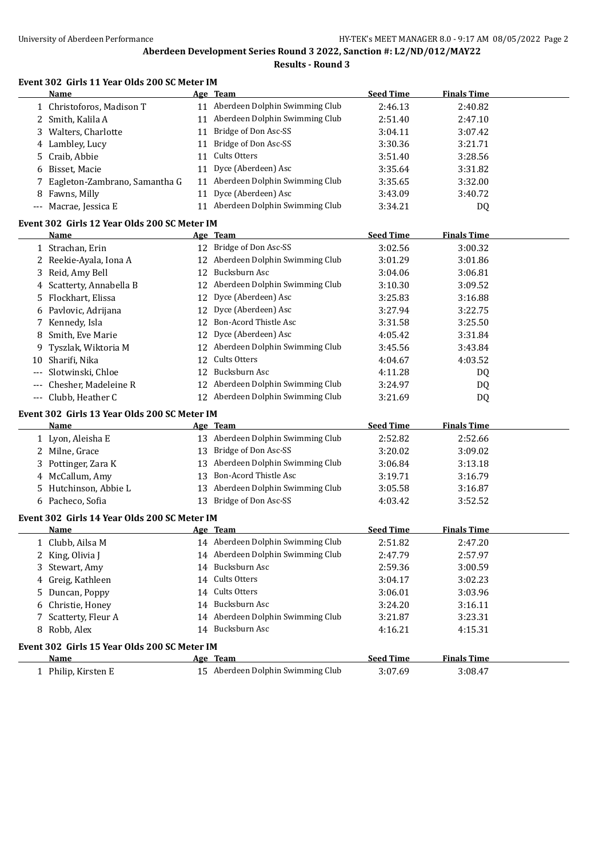**Results - Round 3**

# **Event 302 Girls 11 Year Olds 200 SC Meter IM**

|     | Name                                         |    | Age Team                          | <b>Seed Time</b> | <b>Finals Time</b> |  |
|-----|----------------------------------------------|----|-----------------------------------|------------------|--------------------|--|
|     | 1 Christoforos, Madison T                    |    | 11 Aberdeen Dolphin Swimming Club | 2:46.13          | 2:40.82            |  |
|     | 2 Smith, Kalila A                            |    | 11 Aberdeen Dolphin Swimming Club | 2:51.40          | 2:47.10            |  |
|     | 3 Walters, Charlotte                         | 11 | Bridge of Don Asc-SS              | 3:04.11          | 3:07.42            |  |
|     | 4 Lambley, Lucy                              | 11 | Bridge of Don Asc-SS              | 3:30.36          | 3:21.71            |  |
| 5   | Craib, Abbie                                 | 11 | Cults Otters                      | 3:51.40          | 3:28.56            |  |
| 6   | Bisset, Macie                                | 11 | Dyce (Aberdeen) Asc               | 3:35.64          | 3:31.82            |  |
|     | Eagleton-Zambrano, Samantha G                |    | 11 Aberdeen Dolphin Swimming Club | 3:35.65          | 3:32.00            |  |
|     | 8 Fawns, Milly                               | 11 | Dyce (Aberdeen) Asc               | 3:43.09          | 3:40.72            |  |
|     | --- Macrae, Jessica E                        |    | 11 Aberdeen Dolphin Swimming Club | 3:34.21          | DQ                 |  |
|     | Event 302 Girls 12 Year Olds 200 SC Meter IM |    |                                   |                  |                    |  |
|     | Name                                         |    | <u>Age Team</u>                   | <b>Seed Time</b> | <b>Finals Time</b> |  |
|     | 1 Strachan, Erin                             |    | 12 Bridge of Don Asc-SS           | 3:02.56          | 3:00.32            |  |
|     | 2 Reekie-Ayala, Iona A                       |    | 12 Aberdeen Dolphin Swimming Club | 3:01.29          | 3:01.86            |  |
| 3   | Reid, Amy Bell                               | 12 | Bucksburn Asc                     | 3:04.06          | 3:06.81            |  |
| 4   | Scatterty, Annabella B                       |    | 12 Aberdeen Dolphin Swimming Club | 3:10.30          | 3:09.52            |  |
| 5   | Flockhart, Elissa                            | 12 | Dyce (Aberdeen) Asc               | 3:25.83          | 3:16.88            |  |
|     | 6 Pavlovic, Adrijana                         | 12 | Dyce (Aberdeen) Asc               | 3:27.94          | 3:22.75            |  |
|     | 7 Kennedy, Isla                              | 12 | Bon-Acord Thistle Asc             | 3:31.58          | 3:25.50            |  |
| 8   | Smith, Eve Marie                             |    | 12 Dyce (Aberdeen) Asc            | 4:05.42          | 3:31.84            |  |
| 9   | Tyszlak, Wiktoria M                          |    | 12 Aberdeen Dolphin Swimming Club | 3:45.56          | 3:43.84            |  |
| 10  | Sharifi, Nika                                | 12 | Cults Otters                      | 4:04.67          | 4:03.52            |  |
|     | Slotwinski, Chloe                            |    | 12 Bucksburn Asc                  | 4:11.28          | DQ                 |  |
|     | Chesher, Madeleine R                         |    | 12 Aberdeen Dolphin Swimming Club | 3:24.97          | DQ                 |  |
| --- | Clubb, Heather C                             |    | 12 Aberdeen Dolphin Swimming Club | 3:21.69          | DQ                 |  |
|     | Event 302 Girls 13 Year Olds 200 SC Meter IM |    |                                   |                  |                    |  |
|     | Name                                         |    | <u>Age Team</u>                   | <b>Seed Time</b> | <b>Finals Time</b> |  |
|     | 1 Lyon, Aleisha E                            |    | 13 Aberdeen Dolphin Swimming Club | 2:52.82          | 2:52.66            |  |
|     | 2 Milne, Grace                               |    | 13 Bridge of Don Asc-SS           | 3:20.02          | 3:09.02            |  |
|     | 3 Pottinger, Zara K                          |    | 13 Aberdeen Dolphin Swimming Club | 3:06.84          | 3:13.18            |  |
|     | 4 McCallum, Amy                              |    | 13 Bon-Acord Thistle Asc          | 3:19.71          | 3:16.79            |  |
|     | 5 Hutchinson, Abbie L                        |    | 13 Aberdeen Dolphin Swimming Club | 3:05.58          | 3:16.87            |  |
|     | 6 Pacheco, Sofia                             |    | 13 Bridge of Don Asc-SS           | 4:03.42          | 3:52.52            |  |
|     | Event 302 Girls 14 Year Olds 200 SC Meter IM |    |                                   |                  |                    |  |
|     | Name                                         |    | Age Team                          | <b>Seed Time</b> | <b>Finals Time</b> |  |
|     | 1 Clubb, Ailsa M                             |    | 14 Aberdeen Dolphin Swimming Club | 2:51.82          | 2:47.20            |  |
|     | 2 King, Olivia J                             |    | 14 Aberdeen Dolphin Swimming Club | 2:47.79          | 2:57.97            |  |
|     | 3 Stewart, Amy                               |    | 14 Bucksburn Asc                  | 2:59.36          | 3:00.59            |  |
|     | 4 Greig, Kathleen                            | 14 | Cults Otters                      | 3:04.17          | 3:02.23            |  |
|     | 5 Duncan, Poppy                              |    | 14 Cults Otters                   | 3:06.01          | 3:03.96            |  |
|     | 6 Christie, Honey                            |    | 14 Bucksburn Asc                  | 3:24.20          | 3:16.11            |  |
| 7   | Scatterty, Fleur A                           |    | 14 Aberdeen Dolphin Swimming Club | 3:21.87          | 3:23.31            |  |
|     | 8 Robb, Alex                                 |    | 14 Bucksburn Asc                  | 4:16.21          | 4:15.31            |  |
|     | Event 302 Girls 15 Year Olds 200 SC Meter IM |    |                                   |                  |                    |  |
|     | <u>Name</u>                                  |    | Age Team                          | <b>Seed Time</b> | <b>Finals Time</b> |  |
|     | 1 Philip, Kirsten E                          |    | 15 Aberdeen Dolphin Swimming Club | 3:07.69          | 3:08.47            |  |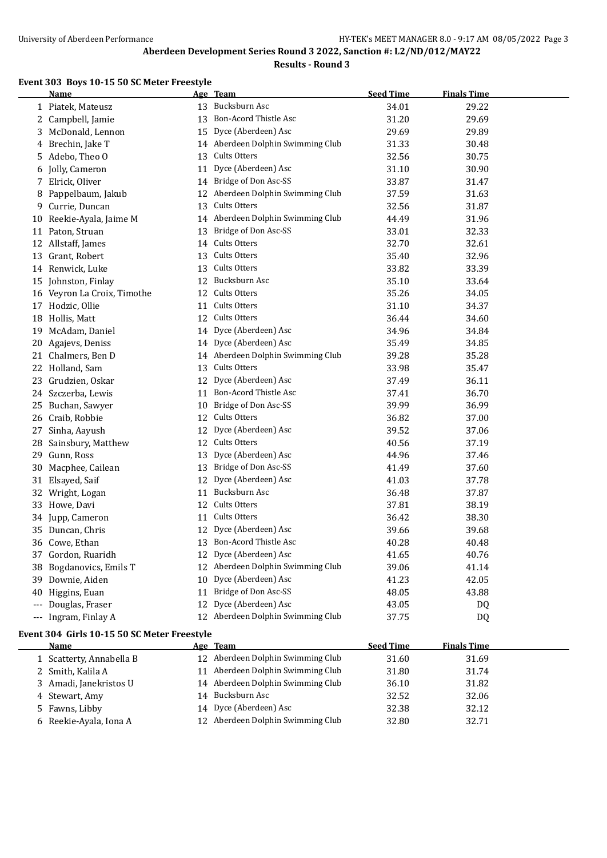#### **Event 303 Boys 10-15 50 SC Meter Freestyle**

|       | Name                                        |    | Age Team                          | <b>Seed Time</b> | <b>Finals Time</b> |  |
|-------|---------------------------------------------|----|-----------------------------------|------------------|--------------------|--|
|       | 1 Piatek, Mateusz                           |    | 13 Bucksburn Asc                  | 34.01            | 29.22              |  |
|       | 2 Campbell, Jamie                           | 13 | <b>Bon-Acord Thistle Asc</b>      | 31.20            | 29.69              |  |
| 3     | McDonald, Lennon                            |    | 15 Dyce (Aberdeen) Asc            | 29.69            | 29.89              |  |
|       | 4 Brechin, Jake T                           |    | 14 Aberdeen Dolphin Swimming Club | 31.33            | 30.48              |  |
| 5.    | Adebo, Theo O                               | 13 | Cults Otters                      | 32.56            | 30.75              |  |
|       | 6 Jolly, Cameron                            | 11 | Dyce (Aberdeen) Asc               | 31.10            | 30.90              |  |
|       | Elrick, Oliver                              |    | 14 Bridge of Don Asc-SS           | 33.87            | 31.47              |  |
| 8     | Pappelbaum, Jakub                           | 12 | Aberdeen Dolphin Swimming Club    | 37.59            | 31.63              |  |
| 9.    | Currie, Duncan                              | 13 | Cults Otters                      | 32.56            | 31.87              |  |
|       | 10 Reekie-Ayala, Jaime M                    |    | 14 Aberdeen Dolphin Swimming Club | 44.49            | 31.96              |  |
|       | 11 Paton, Struan                            | 13 | Bridge of Don Asc-SS              | 33.01            | 32.33              |  |
|       | 12 Allstaff, James                          |    | 14 Cults Otters                   | 32.70            | 32.61              |  |
|       | 13 Grant, Robert                            |    | 13 Cults Otters                   | 35.40            | 32.96              |  |
|       | 14 Renwick, Luke                            |    | 13 Cults Otters                   | 33.82            | 33.39              |  |
|       | 15 Johnston, Finlay                         |    | 12 Bucksburn Asc                  | 35.10            | 33.64              |  |
|       | 16 Veyron La Croix, Timothe                 |    | 12 Cults Otters                   | 35.26            | 34.05              |  |
|       | 17 Hodzic, Ollie                            |    | 11 Cults Otters                   | 31.10            | 34.37              |  |
|       | 18 Hollis, Matt                             |    | 12 Cults Otters                   | 36.44            | 34.60              |  |
|       | 19 McAdam, Daniel                           |    | 14 Dyce (Aberdeen) Asc            | 34.96            | 34.84              |  |
|       | 20 Agajevs, Deniss                          |    | 14 Dyce (Aberdeen) Asc            | 35.49            | 34.85              |  |
|       | 21 Chalmers, Ben D                          |    | 14 Aberdeen Dolphin Swimming Club | 39.28            | 35.28              |  |
|       | 22 Holland, Sam                             |    | 13 Cults Otters                   | 33.98            | 35.47              |  |
|       | 23 Grudzien, Oskar                          | 12 | Dyce (Aberdeen) Asc               | 37.49            | 36.11              |  |
|       | 24 Szczerba, Lewis                          |    | 11 Bon-Acord Thistle Asc          | 37.41            | 36.70              |  |
|       | 25 Buchan, Sawyer                           |    | 10 Bridge of Don Asc-SS           | 39.99            | 36.99              |  |
|       | 26 Craib, Robbie                            |    | 12 Cults Otters                   | 36.82            | 37.00              |  |
|       | 27 Sinha, Aayush                            | 12 | Dyce (Aberdeen) Asc               | 39.52            | 37.06              |  |
|       | 28 Sainsbury, Matthew                       |    | 12 Cults Otters                   | 40.56            | 37.19              |  |
|       | 29 Gunn, Ross                               | 13 | Dyce (Aberdeen) Asc               | 44.96            | 37.46              |  |
|       | 30 Macphee, Cailean                         |    | 13 Bridge of Don Asc-SS           | 41.49            | 37.60              |  |
|       | 31 Elsayed, Saif                            |    | 12 Dyce (Aberdeen) Asc            | 41.03            | 37.78              |  |
|       | 32 Wright, Logan                            | 11 | Bucksburn Asc                     | 36.48            | 37.87              |  |
|       | 33 Howe, Davi                               | 12 | Cults Otters                      | 37.81            | 38.19              |  |
|       | 34 Jupp, Cameron                            | 11 | Cults Otters                      | 36.42            | 38.30              |  |
|       | 35 Duncan, Chris                            |    | 12 Dyce (Aberdeen) Asc            | 39.66            | 39.68              |  |
|       | 36 Cowe, Ethan                              |    | 13 Bon-Acord Thistle Asc          | 40.28            | 40.48              |  |
|       | 37 Gordon, Ruaridh                          |    | 12 Dyce (Aberdeen) Asc            | 41.65            | 40.76              |  |
| 38    | Bogdanovics, Emils T                        | 12 | Aberdeen Dolphin Swimming Club    | 39.06            | 41.14              |  |
| 39    | Downie, Aiden                               | 10 | Dyce (Aberdeen) Asc               | 41.23            | 42.05              |  |
| 40    | Higgins, Euan                               | 11 | Bridge of Don Asc-SS              | 48.05            | 43.88              |  |
| ---   | Douglas, Fraser                             | 12 | Dyce (Aberdeen) Asc               | 43.05            | DQ                 |  |
| $---$ | Ingram, Finlay A                            |    | 12 Aberdeen Dolphin Swimming Club | 37.75            | DQ                 |  |
|       | Event 304 Girls 10-15 50 SC Meter Freestyle |    |                                   |                  |                    |  |

#### **Age Team Seed Time Finals Time** 1 Scatterty, Annabella B 12 Aberdeen Dolphin Swimming Club 31.60 31.69 2 Smith, Kalila A 11 Aberdeen Dolphin Swimming Club 31.80 31.74 Amadi, Janekristos U 14 Aberdeen Dolphin Swimming Club 36.10 31.82 Stewart, Amy 14 Bucksburn Asc 32.52 32.06 Fawns, Libby 14 Dyce (Aberdeen) Asc 32.38 32.12 Reekie-Ayala, Iona A 12 Aberdeen Dolphin Swimming Club 32.80 32.71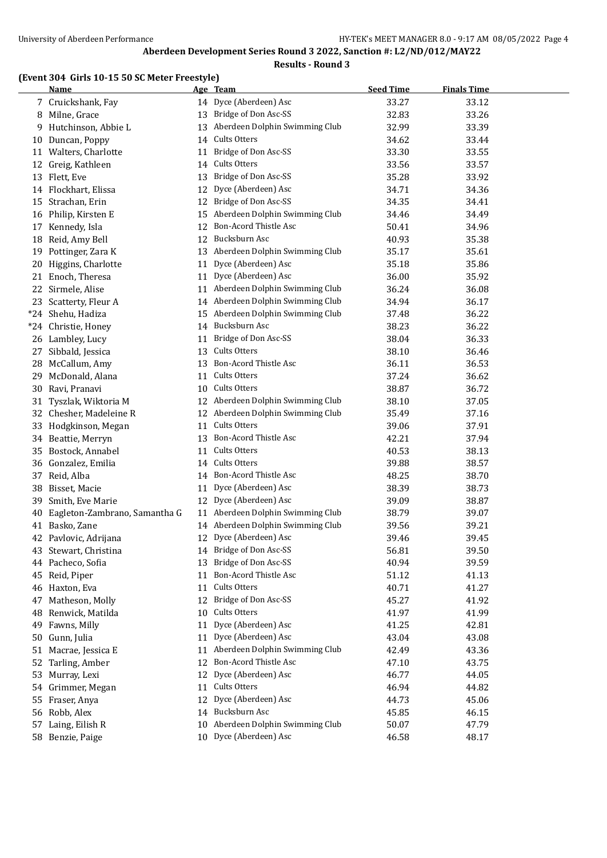# **Aberdeen Development Series Round 3 2022, Sanction #: L2/ND/012/MAY22**

#### **Results - Round 3**

#### **(Event 304 Girls 10-15 50 SC Meter Freestyle)**

|    | <b>Name</b>                                  |    | Age Team                                                | <b>Seed Time</b> | <b>Finals Time</b> |  |
|----|----------------------------------------------|----|---------------------------------------------------------|------------------|--------------------|--|
|    | 7 Cruickshank, Fay                           |    | 14 Dyce (Aberdeen) Asc                                  | 33.27            | 33.12              |  |
|    | 8 Milne, Grace                               |    | 13 Bridge of Don Asc-SS                                 | 32.83            | 33.26              |  |
| 9  | Hutchinson, Abbie L                          |    | 13 Aberdeen Dolphin Swimming Club                       | 32.99            | 33.39              |  |
| 10 | Duncan, Poppy                                |    | 14 Cults Otters                                         | 34.62            | 33.44              |  |
|    | 11 Walters, Charlotte                        | 11 | Bridge of Don Asc-SS                                    | 33.30            | 33.55              |  |
|    | 12 Greig, Kathleen                           |    | 14 Cults Otters                                         | 33.56            | 33.57              |  |
|    | 13 Flett, Eve                                | 13 | Bridge of Don Asc-SS                                    | 35.28            | 33.92              |  |
|    | 14 Flockhart, Elissa                         | 12 | Dyce (Aberdeen) Asc                                     | 34.71            | 34.36              |  |
|    | 15 Strachan, Erin                            | 12 | Bridge of Don Asc-SS                                    | 34.35            | 34.41              |  |
|    | 16 Philip, Kirsten E                         |    | 15 Aberdeen Dolphin Swimming Club                       | 34.46            | 34.49              |  |
| 17 | Kennedy, Isla                                | 12 | <b>Bon-Acord Thistle Asc</b>                            | 50.41            | 34.96              |  |
| 18 | Reid, Amy Bell                               |    | 12 Bucksburn Asc                                        | 40.93            | 35.38              |  |
|    | 19 Pottinger, Zara K                         |    | 13 Aberdeen Dolphin Swimming Club                       | 35.17            | 35.61              |  |
| 20 | Higgins, Charlotte                           | 11 | Dyce (Aberdeen) Asc                                     | 35.18            | 35.86              |  |
| 21 | Enoch, Theresa                               | 11 | Dyce (Aberdeen) Asc                                     | 36.00            | 35.92              |  |
|    | 22 Sirmele, Alise                            |    | 11 Aberdeen Dolphin Swimming Club                       | 36.24            | 36.08              |  |
|    | 23 Scatterty, Fleur A                        |    | 14 Aberdeen Dolphin Swimming Club                       | 34.94            | 36.17              |  |
|    | *24 Shehu, Hadiza                            |    | 15 Aberdeen Dolphin Swimming Club                       | 37.48            | 36.22              |  |
|    | *24 Christie, Honey                          |    | 14 Bucksburn Asc                                        | 38.23            | 36.22              |  |
|    | 26 Lambley, Lucy                             |    | 11 Bridge of Don Asc-SS                                 | 38.04            | 36.33              |  |
|    | 27 Sibbald, Jessica                          |    | 13 Cults Otters                                         | 38.10            | 36.46              |  |
|    | 28 McCallum, Amy                             |    | 13 Bon-Acord Thistle Asc                                | 36.11            | 36.53              |  |
|    | 29 McDonald, Alana                           |    | 11 Cults Otters                                         | 37.24            | 36.62              |  |
|    | 30 Ravi, Pranavi                             |    | 10 Cults Otters                                         | 38.87            | 36.72              |  |
|    | 31 Tyszlak, Wiktoria M                       |    | 12 Aberdeen Dolphin Swimming Club                       | 38.10            | 37.05              |  |
|    | 32 Chesher, Madeleine R                      |    | 12 Aberdeen Dolphin Swimming Club                       | 35.49            | 37.16              |  |
|    | 33 Hodgkinson, Megan                         | 11 | Cults Otters                                            | 39.06            | 37.91              |  |
|    | 34 Beattie, Merryn                           | 13 | Bon-Acord Thistle Asc                                   | 42.21            | 37.94              |  |
| 35 | Bostock, Annabel                             | 11 | Cults Otters                                            | 40.53            | 38.13              |  |
|    | 36 Gonzalez, Emilia                          |    | 14 Cults Otters                                         | 39.88            | 38.57              |  |
| 37 | Reid, Alba                                   |    | 14 Bon-Acord Thistle Asc                                | 48.25            | 38.70              |  |
| 38 | Bisset, Macie                                | 11 | Dyce (Aberdeen) Asc                                     | 38.39            | 38.73              |  |
|    |                                              |    | Dyce (Aberdeen) Asc                                     |                  |                    |  |
| 39 | Smith, Eve Marie                             | 12 | 11 Aberdeen Dolphin Swimming Club                       | 39.09            | 38.87              |  |
| 40 | Eagleton-Zambrano, Samantha G<br>Basko, Zane |    | 14 Aberdeen Dolphin Swimming Club                       | 38.79<br>39.56   | 39.07              |  |
| 41 |                                              |    |                                                         |                  | 39.21              |  |
| 42 | Pavlovic, Adrijana                           |    | 12 Dyce (Aberdeen) Asc<br>14 Bridge of Don Asc-SS       | 39.46            | 39.45              |  |
|    | 43 Stewart, Christina                        |    |                                                         | 56.81            | 39.50              |  |
|    | 44 Pacheco, Sofia                            |    | 13 Bridge of Don Asc-SS                                 | 40.94            | 39.59              |  |
|    | 45 Reid, Piper                               | 11 | Bon-Acord Thistle Asc<br>Cults Otters                   | 51.12            | 41.13              |  |
|    | 46 Haxton, Eva                               | 11 | Bridge of Don Asc-SS                                    | 40.71            | 41.27              |  |
| 47 | Matheson, Molly                              | 12 | Cults Otters                                            | 45.27            | 41.92              |  |
| 48 | Renwick, Matilda                             | 10 |                                                         | 41.97            | 41.99              |  |
| 49 | Fawns, Milly                                 | 11 | Dyce (Aberdeen) Asc                                     | 41.25            | 42.81              |  |
| 50 | Gunn, Julia                                  | 11 | Dyce (Aberdeen) Asc                                     | 43.04            | 43.08              |  |
| 51 | Macrae, Jessica E                            | 11 | Aberdeen Dolphin Swimming Club<br>Bon-Acord Thistle Asc | 42.49            | 43.36              |  |
| 52 | Tarling, Amber                               | 12 |                                                         | 47.10            | 43.75              |  |
| 53 | Murray, Lexi                                 | 12 | Dyce (Aberdeen) Asc                                     | 46.77            | 44.05              |  |
|    | 54 Grimmer, Megan                            | 11 | Cults Otters                                            | 46.94            | 44.82              |  |
| 55 | Fraser, Anya                                 | 12 | Dyce (Aberdeen) Asc                                     | 44.73            | 45.06              |  |
|    | 56 Robb, Alex                                |    | 14 Bucksburn Asc                                        | 45.85            | 46.15              |  |
|    | 57 Laing, Eilish R                           |    | 10 Aberdeen Dolphin Swimming Club                       | 50.07            | 47.79              |  |
|    | 58 Benzie, Paige                             |    | 10 Dyce (Aberdeen) Asc                                  | 46.58            | 48.17              |  |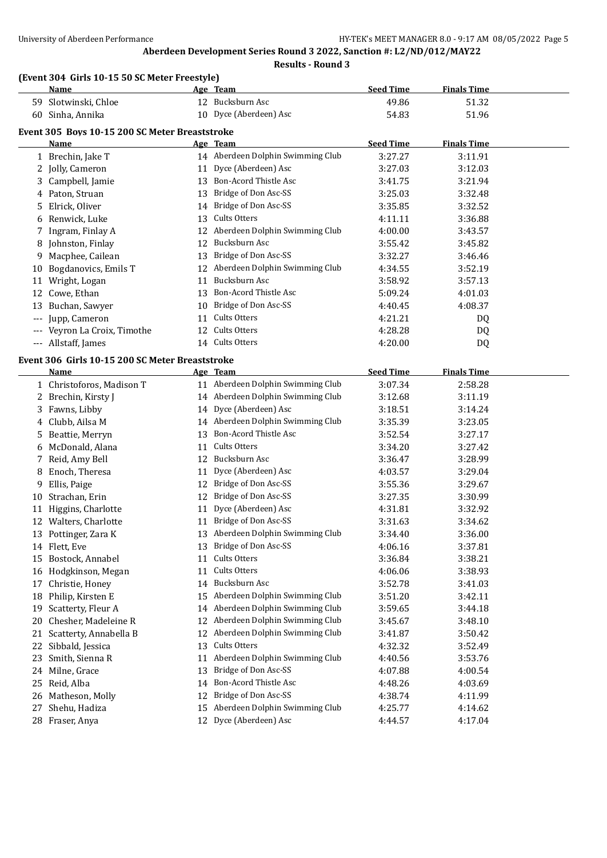#### **(Event 304 Girls 10-15 50 SC Meter Freestyle)**

|    | <u>Name</u>                                     |    | <u>Age Team</u>                   | <b>Seed Time</b> | <b>Finals Time</b> |  |
|----|-------------------------------------------------|----|-----------------------------------|------------------|--------------------|--|
|    | 59 Slotwinski, Chloe                            |    | 12 Bucksburn Asc                  | 49.86            | 51.32              |  |
|    | 60 Sinha, Annika                                |    | 10 Dyce (Aberdeen) Asc            | 54.83            | 51.96              |  |
|    | Event 305 Boys 10-15 200 SC Meter Breaststroke  |    |                                   |                  |                    |  |
|    | Name                                            |    | Age Team                          | <b>Seed Time</b> | <b>Finals Time</b> |  |
|    | 1 Brechin, Jake T                               |    | 14 Aberdeen Dolphin Swimming Club | 3:27.27          | 3:11.91            |  |
|    | 2 Jolly, Cameron                                |    | 11 Dyce (Aberdeen) Asc            | 3:27.03          | 3:12.03            |  |
|    | 3 Campbell, Jamie                               |    | 13 Bon-Acord Thistle Asc          | 3:41.75          | 3:21.94            |  |
|    | 4 Paton, Struan                                 |    | 13 Bridge of Don Asc-SS           | 3:25.03          | 3:32.48            |  |
| 5. | Elrick, Oliver                                  |    | 14 Bridge of Don Asc-SS           | 3:35.85          | 3:32.52            |  |
|    | 6 Renwick, Luke                                 |    | 13 Cults Otters                   | 4:11.11          | 3:36.88            |  |
| 7  | Ingram, Finlay A                                |    | 12 Aberdeen Dolphin Swimming Club | 4:00.00          | 3:43.57            |  |
| 8  | Johnston, Finlay                                |    | 12 Bucksburn Asc                  | 3:55.42          | 3:45.82            |  |
| 9. | Macphee, Cailean                                |    | 13 Bridge of Don Asc-SS           | 3:32.27          | 3:46.46            |  |
| 10 | Bogdanovics, Emils T                            |    | 12 Aberdeen Dolphin Swimming Club | 4:34.55          | 3:52.19            |  |
| 11 | Wright, Logan                                   | 11 | Bucksburn Asc                     | 3:58.92          | 3:57.13            |  |
|    | 12 Cowe, Ethan                                  |    | 13 Bon-Acord Thistle Asc          | 5:09.24          | 4:01.03            |  |
| 13 | Buchan, Sawyer                                  |    | 10 Bridge of Don Asc-SS           | 4:40.45          | 4:08.37            |  |
|    | Jupp, Cameron                                   | 11 | Cults Otters                      | 4:21.21          | DQ                 |  |
|    | Veyron La Croix, Timothe                        |    | 12 Cults Otters                   | 4:28.28          | DQ                 |  |
|    | --- Allstaff, James                             |    | 14 Cults Otters                   | 4:20.00          | DQ                 |  |
|    | Event 306 Girls 10-15 200 SC Meter Breaststroke |    |                                   |                  |                    |  |
|    | Name                                            |    | Age Team                          | <b>Seed Time</b> | <b>Finals Time</b> |  |
|    | 1 Christoforos, Madison T                       |    | 11 Aberdeen Dolphin Swimming Club | 3:07.34          | 2:58.28            |  |
|    | 2 Brechin, Kirsty J                             |    | 14 Aberdeen Dolphin Swimming Club | 3:12.68          | 3:11.19            |  |
|    | 3 Fawns, Libby                                  |    | 14 Dyce (Aberdeen) Asc            | 3:18.51          | 3:14.24            |  |
|    | 4 Clubb, Ailsa M                                |    | 14 Aberdeen Dolphin Swimming Club | 3:35.39          | 3:23.05            |  |
| 5. | Beattie, Merryn                                 |    | 13 Bon-Acord Thistle Asc          | 3:52.54          | 3:27.17            |  |
|    | 6 McDonald, Alana                               |    | 11 Cults Otters                   | 3:34.20          | 3:27.42            |  |
| 7  | Reid, Amy Bell                                  |    | 12 Bucksburn Asc                  | 3:36.47          | 3:28.99            |  |
| 8  | Enoch, Theresa                                  | 11 | Dyce (Aberdeen) Asc               | 4:03.57          | 3:29.04            |  |
| 9. | Ellis, Paige                                    |    | 12 Bridge of Don Asc-SS           | 3:55.36          | 3:29.67            |  |
|    | 10 Strachan, Erin                               |    | 12 Bridge of Don Asc-SS           | 3:27.35          | 3:30.99            |  |
|    | 11 Higgins, Charlotte                           |    | 11 Dyce (Aberdeen) Asc            | 4:31.81          | 3:32.92            |  |
|    | 12 Walters, Charlotte                           |    | 11 Bridge of Don Asc-SS           | 3:31.63          | 3:34.62            |  |
|    | 13 Pottinger, Zara K                            |    | 13 Aberdeen Dolphin Swimming Club | 3:34.40          | 3:36.00            |  |
|    | 14 Flett, Eve                                   |    | 13 Bridge of Don Asc-SS           | 4:06.16          | 3:37.81            |  |
| 15 | Bostock, Annabel                                | 11 | Cults Otters                      | 3:36.84          | 3:38.21            |  |
|    | 16 Hodgkinson, Megan                            | 11 | Cults Otters                      | 4:06.06          | 3:38.93            |  |
| 17 | Christie, Honey                                 | 14 | Bucksburn Asc                     | 3:52.78          | 3:41.03            |  |
|    | 18 Philip, Kirsten E                            | 15 | Aberdeen Dolphin Swimming Club    | 3:51.20          | 3:42.11            |  |
| 19 | Scatterty, Fleur A                              | 14 | Aberdeen Dolphin Swimming Club    | 3:59.65          | 3:44.18            |  |
|    | 20 Chesher, Madeleine R                         | 12 | Aberdeen Dolphin Swimming Club    | 3:45.67          | 3:48.10            |  |
| 21 | Scatterty, Annabella B                          | 12 | Aberdeen Dolphin Swimming Club    | 3:41.87          | 3:50.42            |  |
| 22 | Sibbald, Jessica                                | 13 | Cults Otters                      | 4:32.32          | 3:52.49            |  |
| 23 | Smith, Sienna R                                 | 11 | Aberdeen Dolphin Swimming Club    | 4:40.56          | 3:53.76            |  |
| 24 | Milne, Grace                                    | 13 | Bridge of Don Asc-SS              | 4:07.88          | 4:00.54            |  |
| 25 | Reid, Alba                                      | 14 | Bon-Acord Thistle Asc             | 4:48.26          | 4:03.69            |  |
| 26 | Matheson, Molly                                 | 12 | Bridge of Don Asc-SS              | 4:38.74          | 4:11.99            |  |
| 27 | Shehu, Hadiza                                   |    | 15 Aberdeen Dolphin Swimming Club | 4:25.77          | 4:14.62            |  |
|    | 28 Fraser, Anya                                 | 12 | Dyce (Aberdeen) Asc               | 4:44.57          | 4:17.04            |  |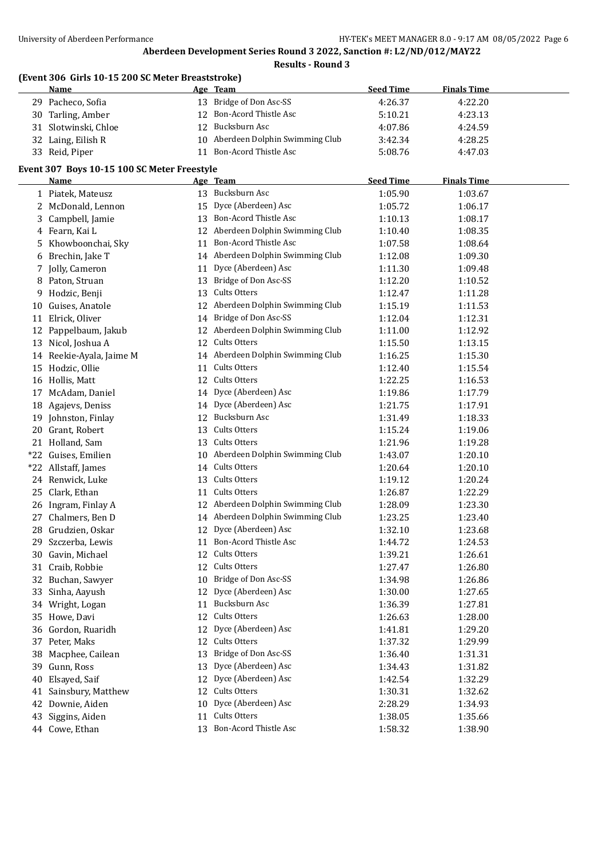|    | <b>Name</b>                                                |    | Age Team                                   | <b>Seed Time</b>   | <b>Finals Time</b> |  |
|----|------------------------------------------------------------|----|--------------------------------------------|--------------------|--------------------|--|
|    | 29 Pacheco, Sofia                                          |    | 13 Bridge of Don Asc-SS                    | 4:26.37            | 4:22.20            |  |
|    | 30 Tarling, Amber                                          |    | 12 Bon-Acord Thistle Asc                   | 5:10.21            | 4:23.13            |  |
|    | 31 Slotwinski, Chloe                                       |    | 12 Bucksburn Asc                           | 4:07.86            | 4:24.59            |  |
|    | 32 Laing, Eilish R                                         |    | 10 Aberdeen Dolphin Swimming Club          | 3:42.34            | 4:28.25            |  |
|    | 33 Reid, Piper                                             |    | 11 Bon-Acord Thistle Asc                   | 5:08.76            | 4:47.03            |  |
|    |                                                            |    |                                            |                    |                    |  |
|    | Event 307 Boys 10-15 100 SC Meter Freestyle<br><u>Name</u> |    | Age Team                                   | <b>Seed Time</b>   | <b>Finals Time</b> |  |
|    | 1 Piatek, Mateusz                                          |    | 13 Bucksburn Asc                           | 1:05.90            | 1:03.67            |  |
|    |                                                            |    | 15 Dyce (Aberdeen) Asc                     | 1:05.72            |                    |  |
| 3  | 2 McDonald, Lennon<br>Campbell, Jamie                      |    | 13 Bon-Acord Thistle Asc                   | 1:10.13            | 1:06.17<br>1:08.17 |  |
|    | 4 Fearn, Kai L                                             |    | 12 Aberdeen Dolphin Swimming Club          |                    |                    |  |
|    | Khowboonchai, Sky                                          |    | 11 Bon-Acord Thistle Asc                   | 1:10.40<br>1:07.58 | 1:08.35<br>1:08.64 |  |
| 5  |                                                            |    | 14 Aberdeen Dolphin Swimming Club          |                    |                    |  |
|    | 6 Brechin, Jake T                                          |    |                                            | 1:12.08            | 1:09.30            |  |
|    | 7 Jolly, Cameron                                           |    | 11 Dyce (Aberdeen) Asc                     | 1:11.30            | 1:09.48            |  |
|    | 8 Paton, Struan                                            |    | 13 Bridge of Don Asc-SS<br>13 Cults Otters | 1:12.20            | 1:10.52            |  |
| 9  | Hodzic, Benji                                              |    |                                            | 1:12.47            | 1:11.28            |  |
| 10 | Guises, Anatole                                            |    | 12 Aberdeen Dolphin Swimming Club          | 1:15.19            | 1:11.53            |  |
|    | 11 Elrick, Oliver                                          |    | 14 Bridge of Don Asc-SS                    | 1:12.04            | 1:12.31            |  |
| 12 | Pappelbaum, Jakub                                          |    | 12 Aberdeen Dolphin Swimming Club          | 1:11.00            | 1:12.92            |  |
|    | 13 Nicol, Joshua A                                         |    | 12 Cults Otters                            | 1:15.50            | 1:13.15            |  |
|    | 14 Reekie-Ayala, Jaime M                                   |    | 14 Aberdeen Dolphin Swimming Club          | 1:16.25            | 1:15.30            |  |
|    | 15 Hodzic, Ollie                                           | 11 | Cults Otters                               | 1:12.40            | 1:15.54            |  |
|    | 16 Hollis, Matt                                            |    | 12 Cults Otters                            | 1:22.25            | 1:16.53            |  |
|    | 17 McAdam, Daniel                                          |    | 14 Dyce (Aberdeen) Asc                     | 1:19.86            | 1:17.79            |  |
|    | 18 Agajevs, Deniss                                         |    | 14 Dyce (Aberdeen) Asc                     | 1:21.75            | 1:17.91            |  |
|    | 19 Johnston, Finlay                                        |    | 12 Bucksburn Asc                           | 1:31.49            | 1:18.33            |  |
|    | 20 Grant, Robert                                           | 13 | Cults Otters                               | 1:15.24            | 1:19.06            |  |
|    | 21 Holland, Sam                                            |    | 13 Cults Otters                            | 1:21.96            | 1:19.28            |  |
|    | *22 Guises, Emilien                                        |    | 10 Aberdeen Dolphin Swimming Club          | 1:43.07            | 1:20.10            |  |
|    | *22 Allstaff, James                                        |    | 14 Cults Otters                            | 1:20.64            | 1:20.10            |  |
|    | 24 Renwick, Luke                                           | 13 | Cults Otters                               | 1:19.12            | 1:20.24            |  |
|    | 25 Clark, Ethan                                            |    | 11 Cults Otters                            | 1:26.87            | 1:22.29            |  |
|    | 26 Ingram, Finlay A                                        |    | 12 Aberdeen Dolphin Swimming Club          | 1:28.09            | 1:23.30            |  |
|    | 27 Chalmers, Ben D                                         |    | 14 Aberdeen Dolphin Swimming Club          | 1:23.25            | 1:23.40            |  |
|    | 28 Grudzien, Oskar                                         |    | 12 Dyce (Aberdeen) Asc                     | 1:32.10            | 1:23.68            |  |
|    | 29 Szczerba, Lewis                                         |    | 11 Bon-Acord Thistle Asc                   | 1:44.72            | 1:24.53            |  |
|    | 30 Gavin, Michael                                          | 12 | Cults Otters                               | 1:39.21            | 1:26.61            |  |
|    | 31 Craib, Robbie                                           | 12 | Cults Otters                               | 1:27.47            | 1:26.80            |  |
| 32 | Buchan, Sawyer                                             | 10 | Bridge of Don Asc-SS                       | 1:34.98            | 1:26.86            |  |
| 33 | Sinha, Aayush                                              | 12 | Dyce (Aberdeen) Asc                        | 1:30.00            | 1:27.65            |  |
|    | 34 Wright, Logan                                           | 11 | Bucksburn Asc                              | 1:36.39            | 1:27.81            |  |
|    | 35 Howe, Davi                                              | 12 | Cults Otters                               | 1:26.63            | 1:28.00            |  |
|    | 36 Gordon, Ruaridh                                         | 12 | Dyce (Aberdeen) Asc                        | 1:41.81            | 1:29.20            |  |
|    | 37 Peter, Maks                                             | 12 | Cults Otters                               | 1:37.32            | 1:29.99            |  |
| 38 | Macphee, Cailean                                           | 13 | Bridge of Don Asc-SS                       | 1:36.40            | 1:31.31            |  |
| 39 | Gunn, Ross                                                 | 13 | Dyce (Aberdeen) Asc                        | 1:34.43            | 1:31.82            |  |
| 40 | Elsayed, Saif                                              | 12 | Dyce (Aberdeen) Asc                        | 1:42.54            | 1:32.29            |  |
| 41 | Sainsbury, Matthew                                         | 12 | Cults Otters                               | 1:30.31            | 1:32.62            |  |
| 42 | Downie, Aiden                                              | 10 | Dyce (Aberdeen) Asc                        | 2:28.29            | 1:34.93            |  |
| 43 | Siggins, Aiden                                             | 11 | Cults Otters                               | 1:38.05            | 1:35.66            |  |
|    | 44 Cowe, Ethan                                             | 13 | Bon-Acord Thistle Asc                      | 1:58.32            | 1:38.90            |  |
|    |                                                            |    |                                            |                    |                    |  |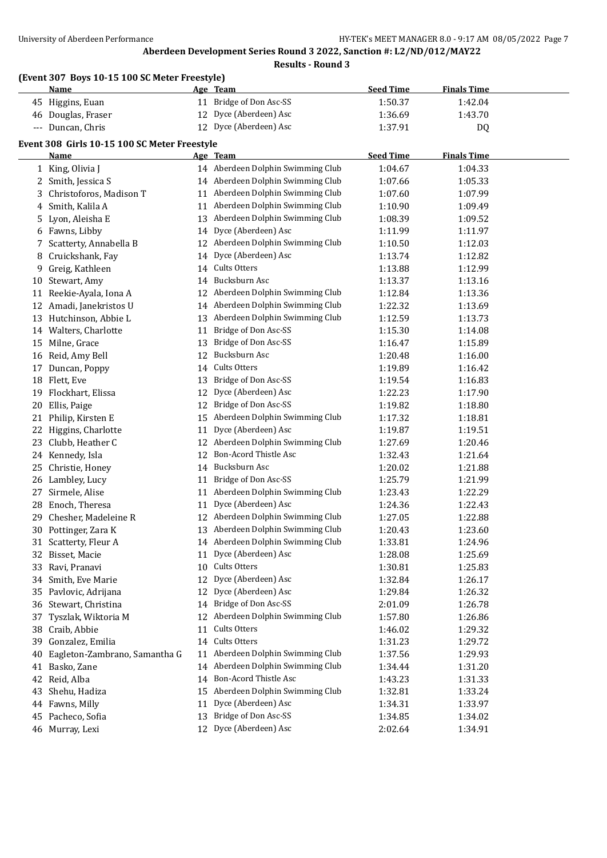**(Event 307 Boys 10-15 100 SC Meter Freestyle)**

|                                              | (Event 507 Doys 10 15 100 5G Meter Heestyn) |    |                                                   |                  |                    |  |  |  |
|----------------------------------------------|---------------------------------------------|----|---------------------------------------------------|------------------|--------------------|--|--|--|
|                                              | <b>Name</b>                                 |    | Age Team                                          | <b>Seed Time</b> | <b>Finals Time</b> |  |  |  |
|                                              | 45 Higgins, Euan                            |    | 11 Bridge of Don Asc-SS<br>12 Dyce (Aberdeen) Asc | 1:50.37          | 1:42.04            |  |  |  |
|                                              | 46 Douglas, Fraser                          |    |                                                   | 1:36.69          | 1:43.70            |  |  |  |
|                                              | --- Duncan, Chris                           |    | 12 Dyce (Aberdeen) Asc                            | 1:37.91          | DQ                 |  |  |  |
| Event 308 Girls 10-15 100 SC Meter Freestyle |                                             |    |                                                   |                  |                    |  |  |  |
|                                              | Name                                        |    | Age Team                                          | <b>Seed Time</b> | <b>Finals Time</b> |  |  |  |
|                                              | 1 King, Olivia J                            |    | 14 Aberdeen Dolphin Swimming Club                 | 1:04.67          | 1:04.33            |  |  |  |
|                                              | 2 Smith, Jessica S                          |    | 14 Aberdeen Dolphin Swimming Club                 | 1:07.66          | 1:05.33            |  |  |  |
| 3                                            | Christoforos, Madison T                     |    | 11 Aberdeen Dolphin Swimming Club                 | 1:07.60          | 1:07.99            |  |  |  |
| 4                                            | Smith, Kalila A                             |    | 11 Aberdeen Dolphin Swimming Club                 | 1:10.90          | 1:09.49            |  |  |  |
|                                              | 5 Lyon, Aleisha E                           |    | 13 Aberdeen Dolphin Swimming Club                 | 1:08.39          | 1:09.52            |  |  |  |
|                                              | 6 Fawns, Libby                              |    | 14 Dyce (Aberdeen) Asc                            | 1:11.99          | 1:11.97            |  |  |  |
| 7                                            | Scatterty, Annabella B                      |    | 12 Aberdeen Dolphin Swimming Club                 | 1:10.50          | 1:12.03            |  |  |  |
|                                              | 8 Cruickshank, Fay                          | 14 | Dyce (Aberdeen) Asc                               | 1:13.74          | 1:12.82            |  |  |  |
|                                              | 9 Greig, Kathleen                           |    | 14 Cults Otters                                   | 1:13.88          | 1:12.99            |  |  |  |
|                                              | 10 Stewart, Amy                             | 14 | Bucksburn Asc                                     | 1:13.37          | 1:13.16            |  |  |  |
|                                              | 11 Reekie-Ayala, Iona A                     |    | 12 Aberdeen Dolphin Swimming Club                 | 1:12.84          | 1:13.36            |  |  |  |
|                                              | 12 Amadi, Janekristos U                     |    | 14 Aberdeen Dolphin Swimming Club                 | 1:22.32          | 1:13.69            |  |  |  |
|                                              | 13 Hutchinson, Abbie L                      |    | 13 Aberdeen Dolphin Swimming Club                 | 1:12.59          | 1:13.73            |  |  |  |
|                                              | 14 Walters, Charlotte                       | 11 | Bridge of Don Asc-SS                              | 1:15.30          | 1:14.08            |  |  |  |
|                                              | 15 Milne, Grace                             | 13 | Bridge of Don Asc-SS                              | 1:16.47          | 1:15.89            |  |  |  |
|                                              | 16 Reid, Amy Bell                           | 12 | Bucksburn Asc                                     | 1:20.48          | 1:16.00            |  |  |  |
|                                              | 17 Duncan, Poppy                            | 14 | Cults Otters                                      | 1:19.89          | 1:16.42            |  |  |  |
|                                              | 18 Flett, Eve                               | 13 | Bridge of Don Asc-SS                              | 1:19.54          | 1:16.83            |  |  |  |
|                                              | 19 Flockhart, Elissa                        | 12 | Dyce (Aberdeen) Asc                               | 1:22.23          | 1:17.90            |  |  |  |
| 20                                           | Ellis, Paige                                | 12 | Bridge of Don Asc-SS                              | 1:19.82          | 1:18.80            |  |  |  |
| 21                                           | Philip, Kirsten E                           | 15 | Aberdeen Dolphin Swimming Club                    | 1:17.32          | 1:18.81            |  |  |  |
| 22                                           | Higgins, Charlotte                          | 11 | Dyce (Aberdeen) Asc                               | 1:19.87          | 1:19.51            |  |  |  |
|                                              | 23 Clubb, Heather C                         | 12 | Aberdeen Dolphin Swimming Club                    | 1:27.69          | 1:20.46            |  |  |  |
|                                              | 24 Kennedy, Isla                            | 12 | Bon-Acord Thistle Asc                             | 1:32.43          | 1:21.64            |  |  |  |
| 25                                           | Christie, Honey                             |    | 14 Bucksburn Asc                                  | 1:20.02          | 1:21.88            |  |  |  |
|                                              | 26 Lambley, Lucy                            | 11 | Bridge of Don Asc-SS                              | 1:25.79          | 1:21.99            |  |  |  |
| 27                                           | Sirmele, Alise                              |    | 11 Aberdeen Dolphin Swimming Club                 | 1:23.43          | 1:22.29            |  |  |  |
|                                              | 28 Enoch, Theresa                           | 11 | Dyce (Aberdeen) Asc                               | 1:24.36          | 1:22.43            |  |  |  |
|                                              | 29 Chesher, Madeleine R                     |    | 12 Aberdeen Dolphin Swimming Club                 | 1:27.05          | 1:22.88            |  |  |  |
|                                              | 30 Pottinger, Zara K                        |    | 13 Aberdeen Dolphin Swimming Club                 | 1:20.43          | 1:23.60            |  |  |  |
|                                              | 31 Scatterty, Fleur A                       |    | 14 Aberdeen Dolphin Swimming Club                 | 1:33.81          | 1:24.96            |  |  |  |
|                                              | 32 Bisset, Macie                            | 11 | Dyce (Aberdeen) Asc                               | 1:28.08          | 1:25.69            |  |  |  |
|                                              | 33 Ravi, Pranavi                            | 10 | Cults Otters                                      | 1:30.81          | 1:25.83            |  |  |  |
|                                              | 34 Smith, Eve Marie                         | 12 | Dyce (Aberdeen) Asc                               | 1:32.84          | 1:26.17            |  |  |  |
|                                              | 35 Pavlovic, Adrijana                       | 12 | Dyce (Aberdeen) Asc                               | 1:29.84          | 1:26.32            |  |  |  |
|                                              | 36 Stewart, Christina                       | 14 | Bridge of Don Asc-SS                              | 2:01.09          | 1:26.78            |  |  |  |
| 37                                           | Tyszlak, Wiktoria M                         | 12 | Aberdeen Dolphin Swimming Club                    | 1:57.80          | 1:26.86            |  |  |  |
|                                              | 38 Craib, Abbie                             | 11 | Cults Otters                                      | 1:46.02          | 1:29.32            |  |  |  |
| 39                                           | Gonzalez, Emilia                            | 14 | Cults Otters                                      | 1:31.23          | 1:29.72            |  |  |  |
| 40                                           | Eagleton-Zambrano, Samantha G               | 11 | Aberdeen Dolphin Swimming Club                    | 1:37.56          | 1:29.93            |  |  |  |
| 41                                           | Basko, Zane                                 | 14 | Aberdeen Dolphin Swimming Club                    | 1:34.44          | 1:31.20            |  |  |  |
|                                              | 42 Reid, Alba                               | 14 | Bon-Acord Thistle Asc                             | 1:43.23          | 1:31.33            |  |  |  |
| 43                                           | Shehu, Hadiza                               | 15 | Aberdeen Dolphin Swimming Club                    | 1:32.81          | 1:33.24            |  |  |  |
|                                              | 44 Fawns, Milly                             | 11 | Dyce (Aberdeen) Asc                               | 1:34.31          | 1:33.97            |  |  |  |
|                                              | 45 Pacheco, Sofia                           | 13 | Bridge of Don Asc-SS                              | 1:34.85          | 1:34.02            |  |  |  |
|                                              | 46 Murray, Lexi                             |    | 12 Dyce (Aberdeen) Asc                            | 2:02.64          | 1:34.91            |  |  |  |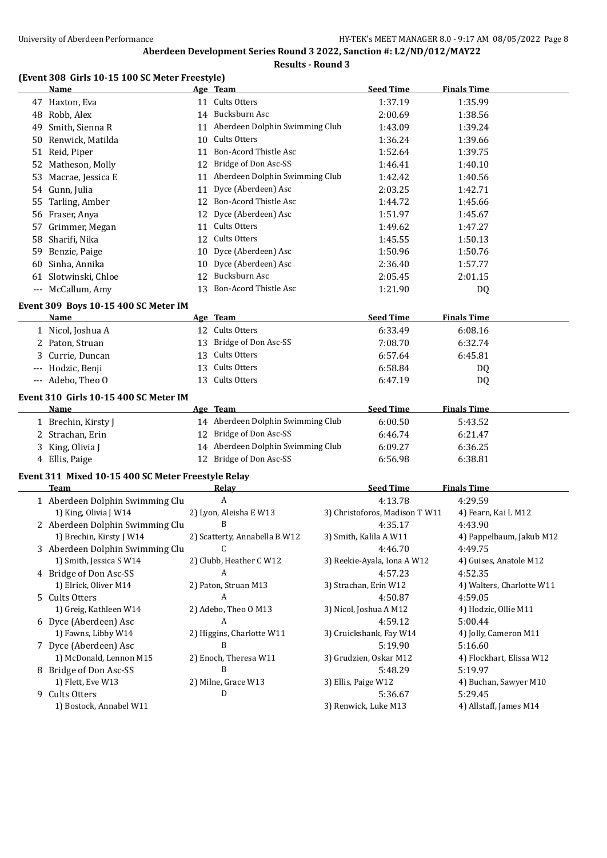# **Results - Round 3**

### **(Event 308 Girls 10-15 100 SC Meter Freestyle)**

|    | <b>Name</b>                                        |    | Age Team                          |                     | <b>Seed Time</b>                   | <b>Finals Time</b>                   |
|----|----------------------------------------------------|----|-----------------------------------|---------------------|------------------------------------|--------------------------------------|
|    | 47 Haxton, Eva                                     |    | 11 Cults Otters                   |                     | 1:37.19                            | 1:35.99                              |
|    | 48 Robb, Alex                                      |    | 14 Bucksburn Asc                  |                     | 2:00.69                            | 1:38.56                              |
| 49 | Smith, Sienna R                                    |    | 11 Aberdeen Dolphin Swimming Club |                     | 1:43.09                            | 1:39.24                              |
|    | 50 Renwick, Matilda                                |    | 10 Cults Otters                   |                     | 1:36.24                            | 1:39.66                              |
|    | 51 Reid, Piper                                     |    | 11 Bon-Acord Thistle Asc          |                     | 1:52.64                            | 1:39.75                              |
|    | 52 Matheson, Molly                                 |    | 12 Bridge of Don Asc-SS           |                     | 1:46.41                            | 1:40.10                              |
| 53 | Macrae, Jessica E                                  |    | 11 Aberdeen Dolphin Swimming Club |                     | 1:42.42                            | 1:40.56                              |
|    | 54 Gunn, Julia                                     | 11 | Dyce (Aberdeen) Asc               |                     | 2:03.25                            | 1:42.71                              |
| 55 | Tarling, Amber                                     |    | 12 Bon-Acord Thistle Asc          |                     | 1:44.72                            | 1:45.66                              |
|    | 56 Fraser, Anya                                    | 12 | Dyce (Aberdeen) Asc               |                     | 1:51.97                            | 1:45.67                              |
|    | 57 Grimmer, Megan                                  | 11 | Cults Otters                      |                     | 1:49.62                            | 1:47.27                              |
|    | 58 Sharifi, Nika                                   | 12 | Cults Otters                      |                     | 1:45.55                            | 1:50.13                              |
|    | 59 Benzie, Paige                                   | 10 | Dyce (Aberdeen) Asc               |                     | 1:50.96                            | 1:50.76                              |
| 60 | Sinha, Annika                                      |    | 10 Dyce (Aberdeen) Asc            |                     | 2:36.40                            | 1:57.77                              |
|    | 61 Slotwinski, Chloe                               | 12 | Bucksburn Asc                     |                     | 2:05.45                            | 2:01.15                              |
|    | --- McCallum, Amy                                  |    | 13 Bon-Acord Thistle Asc          |                     | 1:21.90                            | DQ                                   |
|    |                                                    |    |                                   |                     |                                    |                                      |
|    | Event 309 Boys 10-15 400 SC Meter IM               |    |                                   |                     |                                    |                                      |
|    | Name                                               |    | Age Team                          |                     | <b>Seed Time</b>                   | <b>Finals Time</b>                   |
|    | 1 Nicol, Joshua A                                  |    | 12 Cults Otters                   |                     | 6:33.49                            | 6:08.16                              |
|    | 2 Paton, Struan                                    |    | 13 Bridge of Don Asc-SS           |                     | 7:08.70                            | 6:32.74                              |
| 3  | Currie, Duncan                                     |    | 13 Cults Otters                   |                     | 6:57.64                            | 6:45.81                              |
|    | --- Hodzic, Benji                                  |    | 13 Cults Otters                   |                     | 6:58.84                            | DQ                                   |
|    | --- Adebo, Theo O                                  |    | 13 Cults Otters                   |                     | 6:47.19                            | DQ                                   |
|    | Event 310 Girls 10-15 400 SC Meter IM              |    |                                   |                     |                                    |                                      |
|    | Name                                               |    | Age Team                          |                     |                                    |                                      |
|    |                                                    |    |                                   |                     | <b>Seed Time</b>                   | <b>Finals Time</b>                   |
|    | 1 Brechin, Kirsty J                                |    | 14 Aberdeen Dolphin Swimming Club |                     | 6:00.50                            | 5:43.52                              |
|    | 2 Strachan, Erin                                   |    | 12 Bridge of Don Asc-SS           |                     | 6:46.74                            | 6:21.47                              |
|    | 3 King, Olivia J                                   |    | 14 Aberdeen Dolphin Swimming Club |                     | 6:09.27                            | 6:36.25                              |
|    | 4 Ellis, Paige                                     |    | 12 Bridge of Don Asc-SS           |                     | 6:56.98                            | 6:38.81                              |
|    |                                                    |    |                                   |                     |                                    |                                      |
|    | Event 311 Mixed 10-15 400 SC Meter Freestyle Relay |    |                                   |                     |                                    |                                      |
|    | <b>Team</b>                                        |    | Relay                             |                     | <b>Seed Time</b>                   | <b>Finals Time</b>                   |
|    | 1 Aberdeen Dolphin Swimming Clu                    |    | A                                 |                     | 4:13.78                            | 4:29.59                              |
|    | 1) King, Olivia J W14                              |    | 2) Lyon, Aleisha E W13            |                     | 3) Christoforos, Madison T W11     | 4) Fearn, Kai L M12                  |
|    | 2 Aberdeen Dolphin Swimming Clu                    |    | B                                 |                     | 4:35.17                            | 4:43.90                              |
|    | 1) Brechin, Kirsty J W14                           |    | 2) Scatterty, Annabella B W12     |                     | 3) Smith, Kalila A W11             | 4) Pappelbaum, Jakub M12             |
|    | 3 Aberdeen Dolphin Swimming Clu                    |    | C                                 |                     | 4:46.70                            | 4:49.75                              |
|    | 1) Smith, Jessica S W14                            |    | 2) Clubb, Heather C W12<br>A      |                     | 3) Reekie-Ayala, Iona A W12        | 4) Guises, Anatole M12               |
|    | 4 Bridge of Don Asc-SS                             |    |                                   |                     | 4:57.23                            | 4:52.35                              |
|    | 1) Elrick, Oliver M14                              |    | 2) Paton, Struan M13<br>A         |                     | 3) Strachan, Erin W12              | 4) Walters, Charlotte W11<br>4:59.05 |
|    | 5 Cults Otters                                     |    |                                   |                     | 4:50.87                            |                                      |
|    | 1) Greig, Kathleen W14                             |    | 2) Adebo, Theo O M13<br>A         |                     | 3) Nicol, Joshua A M12             | 4) Hodzic, Ollie M11                 |
|    | 6 Dyce (Aberdeen) Asc                              |    |                                   |                     | 4:59.12                            | 5:00.44                              |
|    | 1) Fawns, Libby W14<br>7 Dyce (Aberdeen) Asc       |    | 2) Higgins, Charlotte W11<br>B    |                     | 3) Cruickshank, Fay W14<br>5:19.90 | 4) Jolly, Cameron M11<br>5:16.60     |
|    | 1) McDonald, Lennon M15                            |    | 2) Enoch, Theresa W11             |                     | 3) Grudzien, Oskar M12             | 4) Flockhart, Elissa W12             |
|    | 8 Bridge of Don Asc-SS                             |    | B                                 |                     | 5:48.29                            | 5:19.97                              |
|    | 1) Flett, Eve W13                                  |    | 2) Milne, Grace W13               | 3) Ellis, Paige W12 |                                    | 4) Buchan, Sawyer M10                |
|    | 9 Cults Otters                                     |    | D                                 |                     | 5:36.67                            | 5:29.45                              |